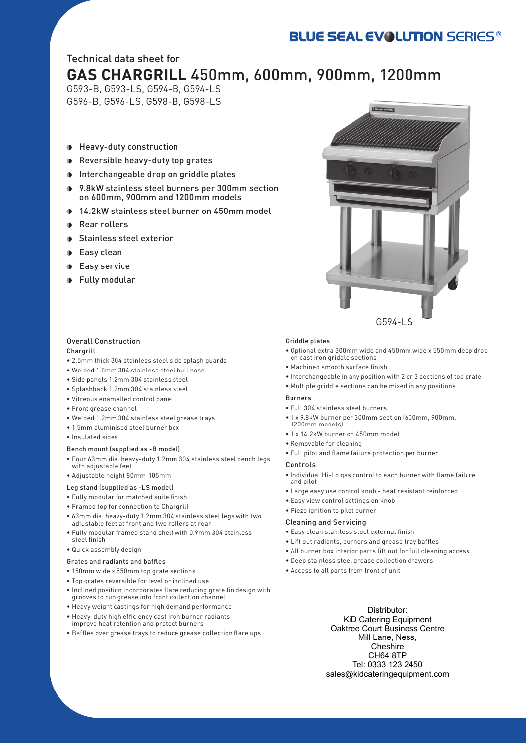# **BLUE SEAL EVOLUTION SERIES®**

# Technical data sheet for **GAS CHARGRILL** 450mm, 600mm, 900mm, 1200mm

G593-B, G593-LS, G594-B, G594-LS G596-B, G596-LS, G598-B, G598-LS

- Heavy-duty construction
- Reversible heavy-duty top grates
- Interchangeable drop on griddle plates
- 9.8kW stainless steel burners per 300mm section on 600mm, 900mm and 1200mm models
- 14.2kW stainless steel burner on 450mm model  $\blacksquare$
- Rear rollers  $\blacksquare$
- Stainless steel exterior  $\blacksquare$
- Easy clean
- Easy service  $\bullet$
- Fully modular

#### Overall Construction Chargrill

- 2.5mm thick 304 stainless steel side splash guards
- Welded 1.5mm 304 stainless steel bull nose
- Side panels 1.2mm 304 stainless steel
- Splashback 1.2mm 304 stainless steel
- Vitreous enamelled control panel
- Front grease channel
- Welded 1.2mm 304 stainless steel grease trays
- 1.5mm aluminised steel burner box
- Insulated sides

## Bench mount (supplied as -B model)

- Four 63mm dia. heavy-duty 1.2mm 304 stainless steel bench legs with adjustable feet
- Adjustable height 80mm-105mm

# Leg stand (supplied as -LS model)

- Fully modular for matched suite finish
- Framed top for connection to Chargrill
- 63mm dia. heavy-duty 1.2mm 304 stainless steel legs with two adjustable feet at front and two rollers at rear
- Fully modular framed stand shelf with 0.9mm 304 stainless steel finish
- Quick assembly design

## Grates and radiants and baffles

- 150mm wide x 550mm top grate sections
- Top grates reversible for level or inclined use
- Inclined position incorporates flare reducing grate fin design with grooves to run grease into front collection channel
- Heavy weight castings for high demand performance
- Heavy-duty high efficiency cast iron burner radiants improve heat retention and protect burners
- Baffles over grease trays to reduce grease collection flare ups

# Griddle plates

• Optional extra 300mm wide and 450mm wide x 550mm deep drop on cast iron griddle sections

G594-LS

- Machined smooth surface finish
- Interchangeable in any position with 2 or 3 sections of top grate
- Multiple griddle sections can be mixed in any positions

## Burners

- Full 304 stainless steel burners
- 1 x 9.8kW burner per 300mm section (600mm, 900mm, 1200mm models)
- 1 x 14.2kW burner on 450mm model
- Removable for cleaning
- Full pilot and flame failure protection per burner

#### Controls

- Individual Hi-Lo gas control to each burner with flame failure and pilot
- Large easy use control knob heat resistant reinforced
- Easy view control settings on knob
- Piezo ignition to pilot burner

#### Cleaning and Servicing

- Easy clean stainless steel external finish
- Lift out radiants, burners and grease tray baffles
- All burner box interior parts lift out for full cleaning access
- Deep stainless steel grease collection drawers
- Access to all parts from front of unit

Distributor: KiD Catering Equipment Oaktree Court Business Centre Mill Lane, Ness, **Cheshire** CH64 8TP Tel: 0333 123 2450 sales@kidcateringequipment.com